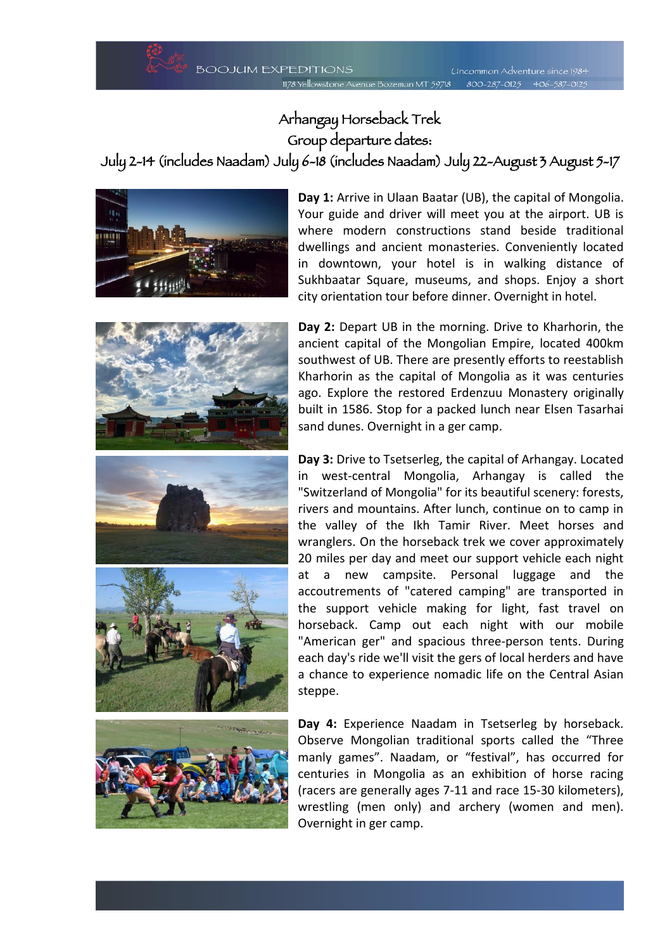## Arhangay Horseback Trek Group departure dates:

July 2-14 (includes Naadam) July 6-18 (includes Naadam) July 22-August 3 August 5-17



**Day 1:** Arrive in Ulaan Baatar (UB), the capital of Mongolia. Your guide and driver will meet you at the airport. UB is where modern constructions stand beside traditional dwellings and ancient monasteries. Conveniently located in downtown, your hotel is in walking distance of Sukhbaatar Square, museums, and shops. Enjoy a short city orientation tour before dinner. Overnight in hotel.









**Day 2:** Depart UB in the morning. Drive to Kharhorin, the ancient capital of the Mongolian Empire, located 400km southwest of UB. There are presently efforts to reestablish Kharhorin as the capital of Mongolia as it was centuries ago. Explore the restored Erdenzuu Monastery originally built in 1586. Stop for a packed lunch near Elsen Tasarhai sand dunes. Overnight in a ger camp.

**Day 3:** Drive to Tsetserleg, the capital of Arhangay. Located in west-central Mongolia, Arhangay is called the "Switzerland of Mongolia" for its beautiful scenery: forests, rivers and mountains. After lunch, continue on to camp in the valley of the Ikh Tamir River. Meet horses and wranglers. On the horseback trek we cover approximately 20 miles per day and meet our support vehicle each night at a new campsite. Personal luggage and the accoutrements of "catered camping" are transported in the support vehicle making for light, fast travel on horseback. Camp out each night with our mobile "American ger" and spacious three-person tents. During each day's ride we'll visit the gers of local herders and have a chance to experience nomadic life on the Central Asian steppe.

**Day 4:** Experience Naadam in Tsetserleg by horseback. Observe Mongolian traditional sports called the "Three manly games". Naadam, or "festival", has occurred for centuries in Mongolia as an exhibition of horse racing (racers are generally ages 7-11 and race 15-30 kilometers), wrestling (men only) and archery (women and men). Overnight in ger camp.